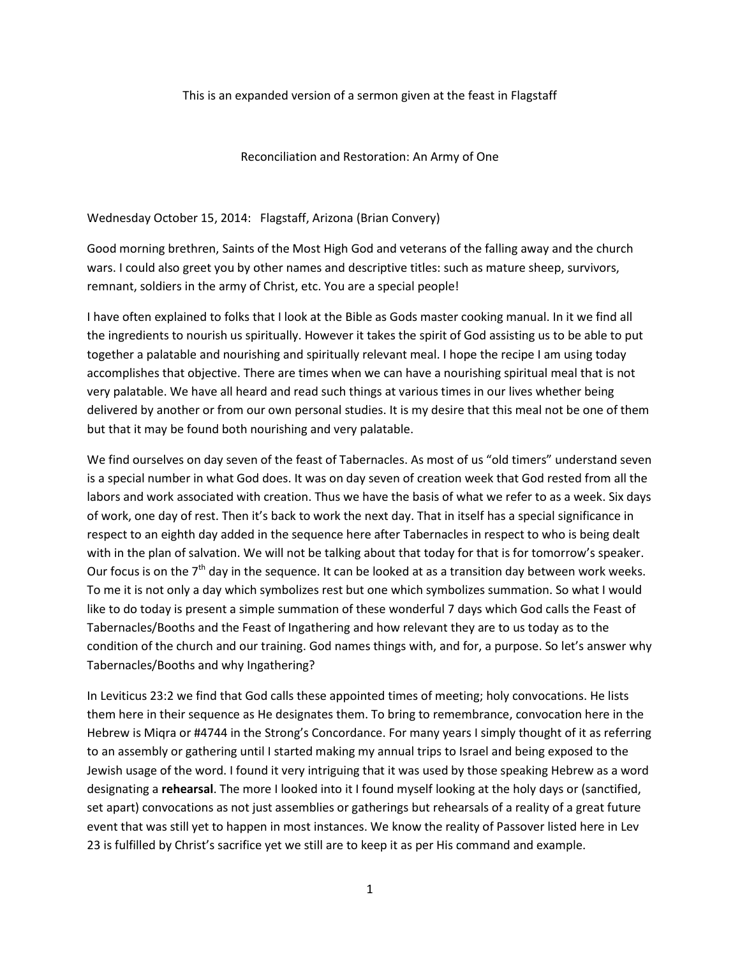This is an expanded version of a sermon given at the feast in Flagstaff

Reconciliation and Restoration: An Army of One

Wednesday October 15, 2014: Flagstaff, Arizona (Brian Convery)

Good morning brethren, Saints of the Most High God and veterans of the falling away and the church wars. I could also greet you by other names and descriptive titles: such as mature sheep, survivors, remnant, soldiers in the army of Christ, etc. You are a special people!

I have often explained to folks that I look at the Bible as Gods master cooking manual. In it we find all the ingredients to nourish us spiritually. However it takes the spirit of God assisting us to be able to put together a palatable and nourishing and spiritually relevant meal. I hope the recipe I am using today accomplishes that objective. There are times when we can have a nourishing spiritual meal that is not very palatable. We have all heard and read such things at various times in our lives whether being delivered by another or from our own personal studies. It is my desire that this meal not be one of them but that it may be found both nourishing and very palatable.

We find ourselves on day seven of the feast of Tabernacles. As most of us "old timers" understand seven is a special number in what God does. It was on day seven of creation week that God rested from all the labors and work associated with creation. Thus we have the basis of what we refer to as a week. Six days of work, one day of rest. Then it's back to work the next day. That in itself has a special significance in respect to an eighth day added in the sequence here after Tabernacles in respect to who is being dealt with in the plan of salvation. We will not be talking about that today for that is for tomorrow's speaker. Our focus is on the  $7<sup>th</sup>$  day in the sequence. It can be looked at as a transition day between work weeks. To me it is not only a day which symbolizes rest but one which symbolizes summation. So what I would like to do today is present a simple summation of these wonderful 7 days which God calls the Feast of Tabernacles/Booths and the Feast of Ingathering and how relevant they are to us today as to the condition of the church and our training. God names things with, and for, a purpose. So let's answer why Tabernacles/Booths and why Ingathering?

In Leviticus 23:2 we find that God calls these appointed times of meeting; holy convocations. He lists them here in their sequence as He designates them. To bring to remembrance, convocation here in the Hebrew is Miqra or #4744 in the Strong's Concordance. For many years I simply thought of it as referring to an assembly or gathering until I started making my annual trips to Israel and being exposed to the Jewish usage of the word. I found it very intriguing that it was used by those speaking Hebrew as a word designating a **rehearsal**. The more I looked into it I found myself looking at the holy days or (sanctified, set apart) convocations as not just assemblies or gatherings but rehearsals of a reality of a great future event that was still yet to happen in most instances. We know the reality of Passover listed here in Lev 23 is fulfilled by Christ's sacrifice yet we still are to keep it as per His command and example.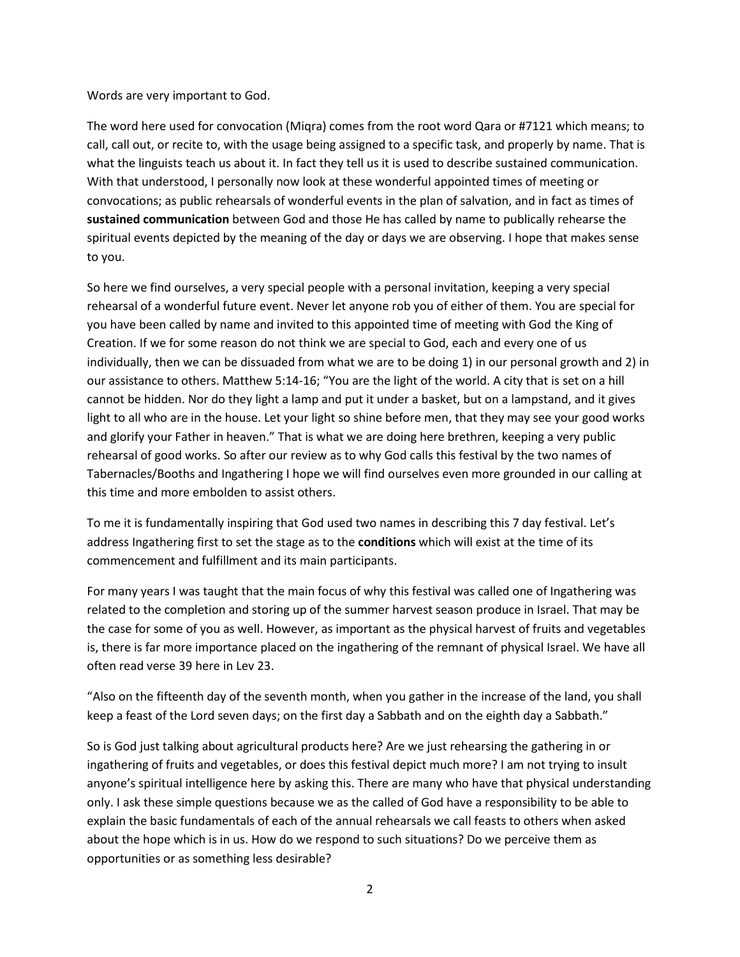Words are very important to God.

The word here used for convocation (Miqra) comes from the root word Qara or #7121 which means; to call, call out, or recite to, with the usage being assigned to a specific task, and properly by name. That is what the linguists teach us about it. In fact they tell us it is used to describe sustained communication. With that understood, I personally now look at these wonderful appointed times of meeting or convocations; as public rehearsals of wonderful events in the plan of salvation, and in fact as times of **sustained communication** between God and those He has called by name to publically rehearse the spiritual events depicted by the meaning of the day or days we are observing. I hope that makes sense to you.

So here we find ourselves, a very special people with a personal invitation, keeping a very special rehearsal of a wonderful future event. Never let anyone rob you of either of them. You are special for you have been called by name and invited to this appointed time of meeting with God the King of Creation. If we for some reason do not think we are special to God, each and every one of us individually, then we can be dissuaded from what we are to be doing 1) in our personal growth and 2) in our assistance to others. Matthew 5:14-16; "You are the light of the world. A city that is set on a hill cannot be hidden. Nor do they light a lamp and put it under a basket, but on a lampstand, and it gives light to all who are in the house. Let your light so shine before men, that they may see your good works and glorify your Father in heaven." That is what we are doing here brethren, keeping a very public rehearsal of good works. So after our review as to why God calls this festival by the two names of Tabernacles/Booths and Ingathering I hope we will find ourselves even more grounded in our calling at this time and more embolden to assist others.

To me it is fundamentally inspiring that God used two names in describing this 7 day festival. Let's address Ingathering first to set the stage as to the **conditions** which will exist at the time of its commencement and fulfillment and its main participants.

For many years I was taught that the main focus of why this festival was called one of Ingathering was related to the completion and storing up of the summer harvest season produce in Israel. That may be the case for some of you as well. However, as important as the physical harvest of fruits and vegetables is, there is far more importance placed on the ingathering of the remnant of physical Israel. We have all often read verse 39 here in Lev 23.

"Also on the fifteenth day of the seventh month, when you gather in the increase of the land, you shall keep a feast of the Lord seven days; on the first day a Sabbath and on the eighth day a Sabbath."

So is God just talking about agricultural products here? Are we just rehearsing the gathering in or ingathering of fruits and vegetables, or does this festival depict much more? I am not trying to insult anyone's spiritual intelligence here by asking this. There are many who have that physical understanding only. I ask these simple questions because we as the called of God have a responsibility to be able to explain the basic fundamentals of each of the annual rehearsals we call feasts to others when asked about the hope which is in us. How do we respond to such situations? Do we perceive them as opportunities or as something less desirable?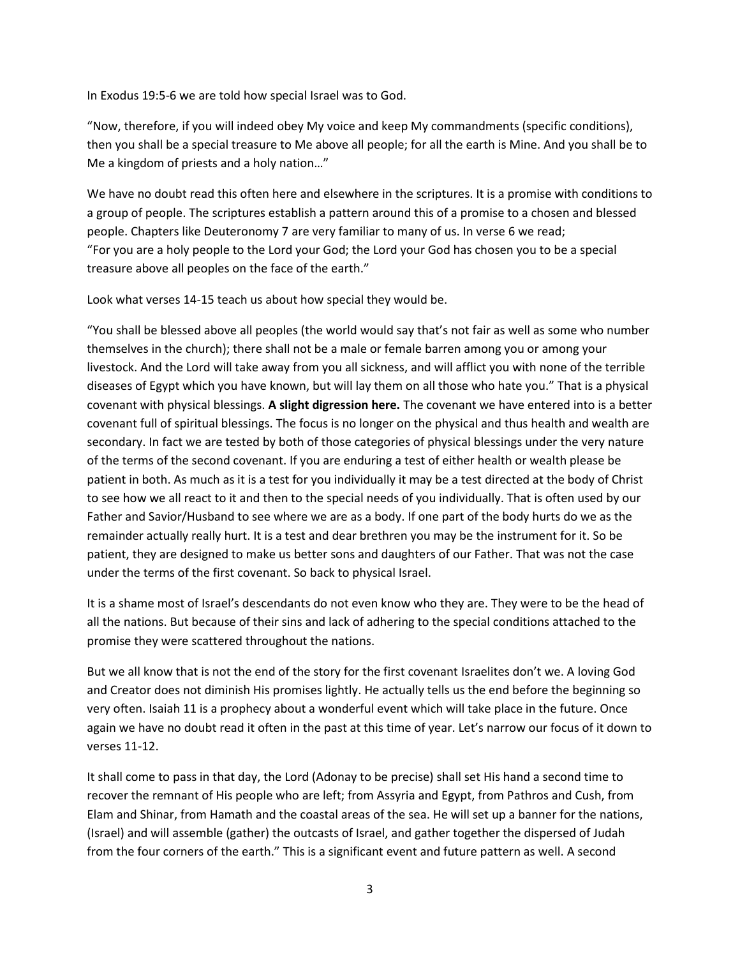In Exodus 19:5-6 we are told how special Israel was to God.

"Now, therefore, if you will indeed obey My voice and keep My commandments (specific conditions), then you shall be a special treasure to Me above all people; for all the earth is Mine. And you shall be to Me a kingdom of priests and a holy nation…"

We have no doubt read this often here and elsewhere in the scriptures. It is a promise with conditions to a group of people. The scriptures establish a pattern around this of a promise to a chosen and blessed people. Chapters like Deuteronomy 7 are very familiar to many of us. In verse 6 we read; "For you are a holy people to the Lord your God; the Lord your God has chosen you to be a special treasure above all peoples on the face of the earth."

Look what verses 14-15 teach us about how special they would be.

"You shall be blessed above all peoples (the world would say that's not fair as well as some who number themselves in the church); there shall not be a male or female barren among you or among your livestock. And the Lord will take away from you all sickness, and will afflict you with none of the terrible diseases of Egypt which you have known, but will lay them on all those who hate you." That is a physical covenant with physical blessings. **A slight digression here.** The covenant we have entered into is a better covenant full of spiritual blessings. The focus is no longer on the physical and thus health and wealth are secondary. In fact we are tested by both of those categories of physical blessings under the very nature of the terms of the second covenant. If you are enduring a test of either health or wealth please be patient in both. As much as it is a test for you individually it may be a test directed at the body of Christ to see how we all react to it and then to the special needs of you individually. That is often used by our Father and Savior/Husband to see where we are as a body. If one part of the body hurts do we as the remainder actually really hurt. It is a test and dear brethren you may be the instrument for it. So be patient, they are designed to make us better sons and daughters of our Father. That was not the case under the terms of the first covenant. So back to physical Israel.

It is a shame most of Israel's descendants do not even know who they are. They were to be the head of all the nations. But because of their sins and lack of adhering to the special conditions attached to the promise they were scattered throughout the nations.

But we all know that is not the end of the story for the first covenant Israelites don't we. A loving God and Creator does not diminish His promises lightly. He actually tells us the end before the beginning so very often. Isaiah 11 is a prophecy about a wonderful event which will take place in the future. Once again we have no doubt read it often in the past at this time of year. Let's narrow our focus of it down to verses 11-12.

It shall come to pass in that day, the Lord (Adonay to be precise) shall set His hand a second time to recover the remnant of His people who are left; from Assyria and Egypt, from Pathros and Cush, from Elam and Shinar, from Hamath and the coastal areas of the sea. He will set up a banner for the nations, (Israel) and will assemble (gather) the outcasts of Israel, and gather together the dispersed of Judah from the four corners of the earth." This is a significant event and future pattern as well. A second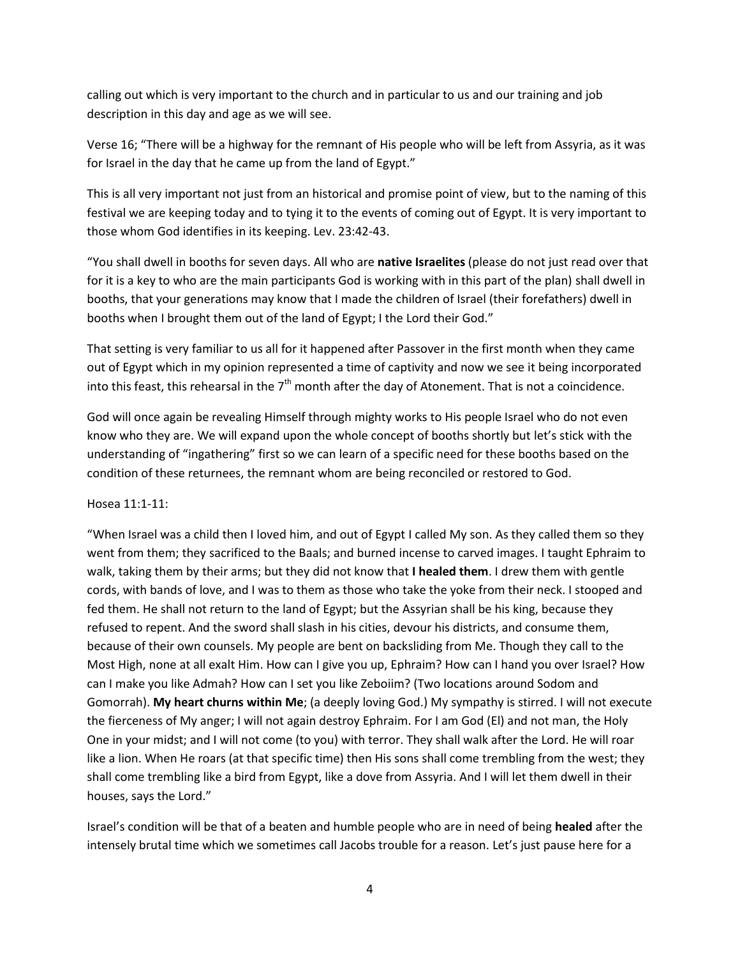calling out which is very important to the church and in particular to us and our training and job description in this day and age as we will see.

Verse 16; "There will be a highway for the remnant of His people who will be left from Assyria, as it was for Israel in the day that he came up from the land of Egypt."

This is all very important not just from an historical and promise point of view, but to the naming of this festival we are keeping today and to tying it to the events of coming out of Egypt. It is very important to those whom God identifies in its keeping. Lev. 23:42-43.

"You shall dwell in booths for seven days. All who are **native Israelites** (please do not just read over that for it is a key to who are the main participants God is working with in this part of the plan) shall dwell in booths, that your generations may know that I made the children of Israel (their forefathers) dwell in booths when I brought them out of the land of Egypt; I the Lord their God."

That setting is very familiar to us all for it happened after Passover in the first month when they came out of Egypt which in my opinion represented a time of captivity and now we see it being incorporated into this feast, this rehearsal in the  $7<sup>th</sup>$  month after the day of Atonement. That is not a coincidence.

God will once again be revealing Himself through mighty works to His people Israel who do not even know who they are. We will expand upon the whole concept of booths shortly but let's stick with the understanding of "ingathering" first so we can learn of a specific need for these booths based on the condition of these returnees, the remnant whom are being reconciled or restored to God.

## Hosea 11:1-11:

"When Israel was a child then I loved him, and out of Egypt I called My son. As they called them so they went from them; they sacrificed to the Baals; and burned incense to carved images. I taught Ephraim to walk, taking them by their arms; but they did not know that **I healed them**. I drew them with gentle cords, with bands of love, and I was to them as those who take the yoke from their neck. I stooped and fed them. He shall not return to the land of Egypt; but the Assyrian shall be his king, because they refused to repent. And the sword shall slash in his cities, devour his districts, and consume them, because of their own counsels. My people are bent on backsliding from Me. Though they call to the Most High, none at all exalt Him. How can I give you up, Ephraim? How can I hand you over Israel? How can I make you like Admah? How can I set you like Zeboiim? (Two locations around Sodom and Gomorrah). **My heart churns within Me**; (a deeply loving God.) My sympathy is stirred. I will not execute the fierceness of My anger; I will not again destroy Ephraim. For I am God (El) and not man, the Holy One in your midst; and I will not come (to you) with terror. They shall walk after the Lord. He will roar like a lion. When He roars (at that specific time) then His sons shall come trembling from the west; they shall come trembling like a bird from Egypt, like a dove from Assyria. And I will let them dwell in their houses, says the Lord."

Israel's condition will be that of a beaten and humble people who are in need of being **healed** after the intensely brutal time which we sometimes call Jacobs trouble for a reason. Let's just pause here for a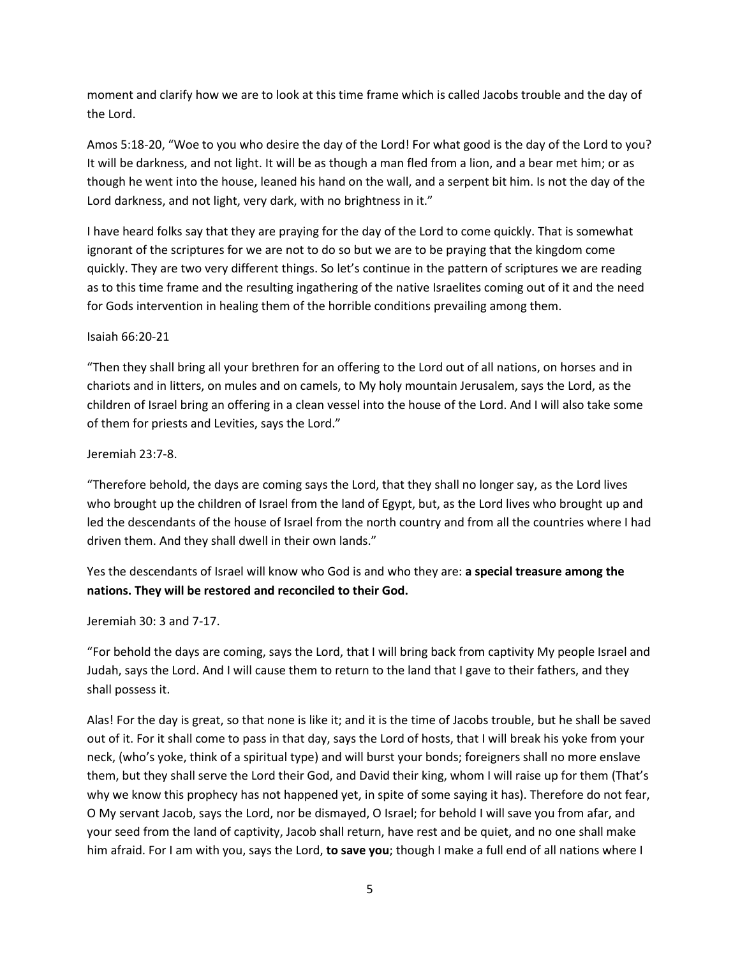moment and clarify how we are to look at this time frame which is called Jacobs trouble and the day of the Lord.

Amos 5:18-20, "Woe to you who desire the day of the Lord! For what good is the day of the Lord to you? It will be darkness, and not light. It will be as though a man fled from a lion, and a bear met him; or as though he went into the house, leaned his hand on the wall, and a serpent bit him. Is not the day of the Lord darkness, and not light, very dark, with no brightness in it."

I have heard folks say that they are praying for the day of the Lord to come quickly. That is somewhat ignorant of the scriptures for we are not to do so but we are to be praying that the kingdom come quickly. They are two very different things. So let's continue in the pattern of scriptures we are reading as to this time frame and the resulting ingathering of the native Israelites coming out of it and the need for Gods intervention in healing them of the horrible conditions prevailing among them.

# Isaiah 66:20-21

"Then they shall bring all your brethren for an offering to the Lord out of all nations, on horses and in chariots and in litters, on mules and on camels, to My holy mountain Jerusalem, says the Lord, as the children of Israel bring an offering in a clean vessel into the house of the Lord. And I will also take some of them for priests and Levities, says the Lord."

Jeremiah 23:7-8.

"Therefore behold, the days are coming says the Lord, that they shall no longer say, as the Lord lives who brought up the children of Israel from the land of Egypt, but, as the Lord lives who brought up and led the descendants of the house of Israel from the north country and from all the countries where I had driven them. And they shall dwell in their own lands."

Yes the descendants of Israel will know who God is and who they are: **a special treasure among the nations. They will be restored and reconciled to their God.** 

Jeremiah 30: 3 and 7-17.

"For behold the days are coming, says the Lord, that I will bring back from captivity My people Israel and Judah, says the Lord. And I will cause them to return to the land that I gave to their fathers, and they shall possess it.

Alas! For the day is great, so that none is like it; and it is the time of Jacobs trouble, but he shall be saved out of it. For it shall come to pass in that day, says the Lord of hosts, that I will break his yoke from your neck, (who's yoke, think of a spiritual type) and will burst your bonds; foreigners shall no more enslave them, but they shall serve the Lord their God, and David their king, whom I will raise up for them (That's why we know this prophecy has not happened yet, in spite of some saying it has). Therefore do not fear, O My servant Jacob, says the Lord, nor be dismayed, O Israel; for behold I will save you from afar, and your seed from the land of captivity, Jacob shall return, have rest and be quiet, and no one shall make him afraid. For I am with you, says the Lord, **to save you**; though I make a full end of all nations where I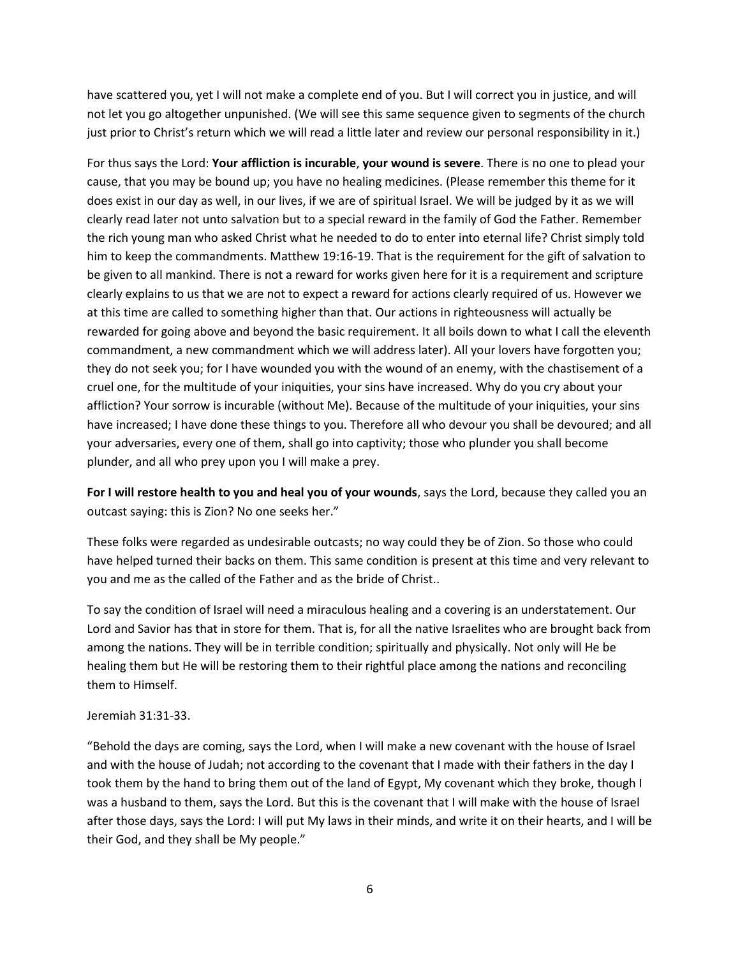have scattered you, yet I will not make a complete end of you. But I will correct you in justice, and will not let you go altogether unpunished. (We will see this same sequence given to segments of the church just prior to Christ's return which we will read a little later and review our personal responsibility in it.)

For thus says the Lord: **Your affliction is incurable**, **your wound is severe**. There is no one to plead your cause, that you may be bound up; you have no healing medicines. (Please remember this theme for it does exist in our day as well, in our lives, if we are of spiritual Israel. We will be judged by it as we will clearly read later not unto salvation but to a special reward in the family of God the Father. Remember the rich young man who asked Christ what he needed to do to enter into eternal life? Christ simply told him to keep the commandments. Matthew 19:16-19. That is the requirement for the gift of salvation to be given to all mankind. There is not a reward for works given here for it is a requirement and scripture clearly explains to us that we are not to expect a reward for actions clearly required of us. However we at this time are called to something higher than that. Our actions in righteousness will actually be rewarded for going above and beyond the basic requirement. It all boils down to what I call the eleventh commandment, a new commandment which we will address later). All your lovers have forgotten you; they do not seek you; for I have wounded you with the wound of an enemy, with the chastisement of a cruel one, for the multitude of your iniquities, your sins have increased. Why do you cry about your affliction? Your sorrow is incurable (without Me). Because of the multitude of your iniquities, your sins have increased; I have done these things to you. Therefore all who devour you shall be devoured; and all your adversaries, every one of them, shall go into captivity; those who plunder you shall become plunder, and all who prey upon you I will make a prey.

**For I will restore health to you and heal you of your wounds**, says the Lord, because they called you an outcast saying: this is Zion? No one seeks her."

These folks were regarded as undesirable outcasts; no way could they be of Zion. So those who could have helped turned their backs on them. This same condition is present at this time and very relevant to you and me as the called of the Father and as the bride of Christ..

To say the condition of Israel will need a miraculous healing and a covering is an understatement. Our Lord and Savior has that in store for them. That is, for all the native Israelites who are brought back from among the nations. They will be in terrible condition; spiritually and physically. Not only will He be healing them but He will be restoring them to their rightful place among the nations and reconciling them to Himself.

## Jeremiah 31:31-33.

"Behold the days are coming, says the Lord, when I will make a new covenant with the house of Israel and with the house of Judah; not according to the covenant that I made with their fathers in the day I took them by the hand to bring them out of the land of Egypt, My covenant which they broke, though I was a husband to them, says the Lord. But this is the covenant that I will make with the house of Israel after those days, says the Lord: I will put My laws in their minds, and write it on their hearts, and I will be their God, and they shall be My people."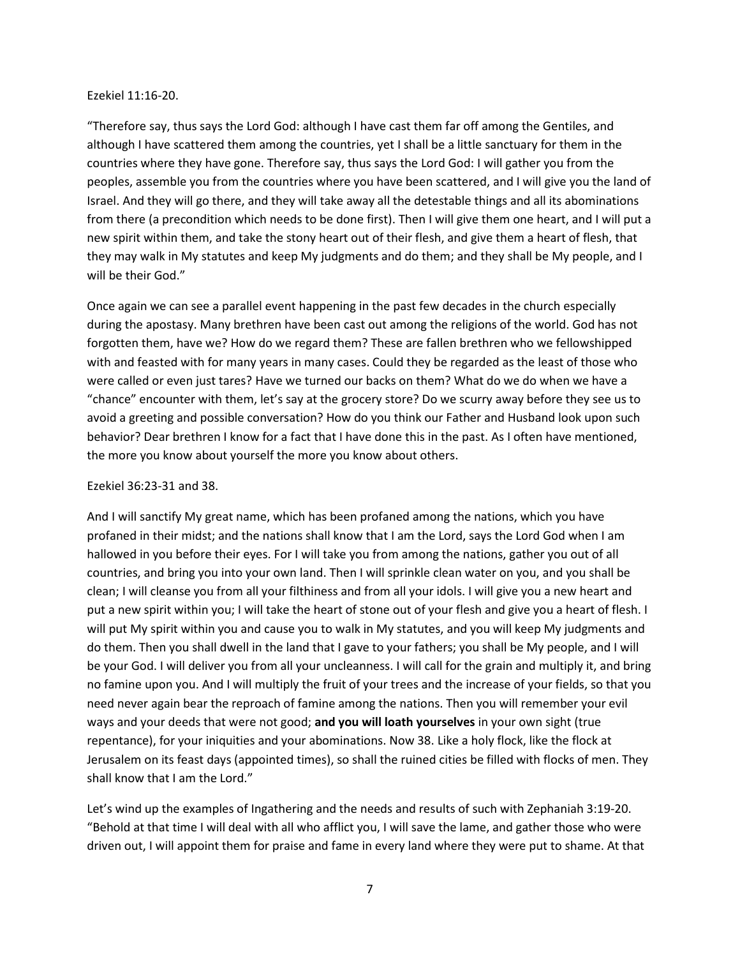#### Ezekiel 11:16-20.

"Therefore say, thus says the Lord God: although I have cast them far off among the Gentiles, and although I have scattered them among the countries, yet I shall be a little sanctuary for them in the countries where they have gone. Therefore say, thus says the Lord God: I will gather you from the peoples, assemble you from the countries where you have been scattered, and I will give you the land of Israel. And they will go there, and they will take away all the detestable things and all its abominations from there (a precondition which needs to be done first). Then I will give them one heart, and I will put a new spirit within them, and take the stony heart out of their flesh, and give them a heart of flesh, that they may walk in My statutes and keep My judgments and do them; and they shall be My people, and I will be their God."

Once again we can see a parallel event happening in the past few decades in the church especially during the apostasy. Many brethren have been cast out among the religions of the world. God has not forgotten them, have we? How do we regard them? These are fallen brethren who we fellowshipped with and feasted with for many years in many cases. Could they be regarded as the least of those who were called or even just tares? Have we turned our backs on them? What do we do when we have a "chance" encounter with them, let's say at the grocery store? Do we scurry away before they see us to avoid a greeting and possible conversation? How do you think our Father and Husband look upon such behavior? Dear brethren I know for a fact that I have done this in the past. As I often have mentioned, the more you know about yourself the more you know about others.

### Ezekiel 36:23-31 and 38.

And I will sanctify My great name, which has been profaned among the nations, which you have profaned in their midst; and the nations shall know that I am the Lord, says the Lord God when I am hallowed in you before their eyes. For I will take you from among the nations, gather you out of all countries, and bring you into your own land. Then I will sprinkle clean water on you, and you shall be clean; I will cleanse you from all your filthiness and from all your idols. I will give you a new heart and put a new spirit within you; I will take the heart of stone out of your flesh and give you a heart of flesh. I will put My spirit within you and cause you to walk in My statutes, and you will keep My judgments and do them. Then you shall dwell in the land that I gave to your fathers; you shall be My people, and I will be your God. I will deliver you from all your uncleanness. I will call for the grain and multiply it, and bring no famine upon you. And I will multiply the fruit of your trees and the increase of your fields, so that you need never again bear the reproach of famine among the nations. Then you will remember your evil ways and your deeds that were not good; **and you will loath yourselves** in your own sight (true repentance), for your iniquities and your abominations. Now 38. Like a holy flock, like the flock at Jerusalem on its feast days (appointed times), so shall the ruined cities be filled with flocks of men. They shall know that I am the Lord."

Let's wind up the examples of Ingathering and the needs and results of such with Zephaniah 3:19-20. "Behold at that time I will deal with all who afflict you, I will save the lame, and gather those who were driven out, I will appoint them for praise and fame in every land where they were put to shame. At that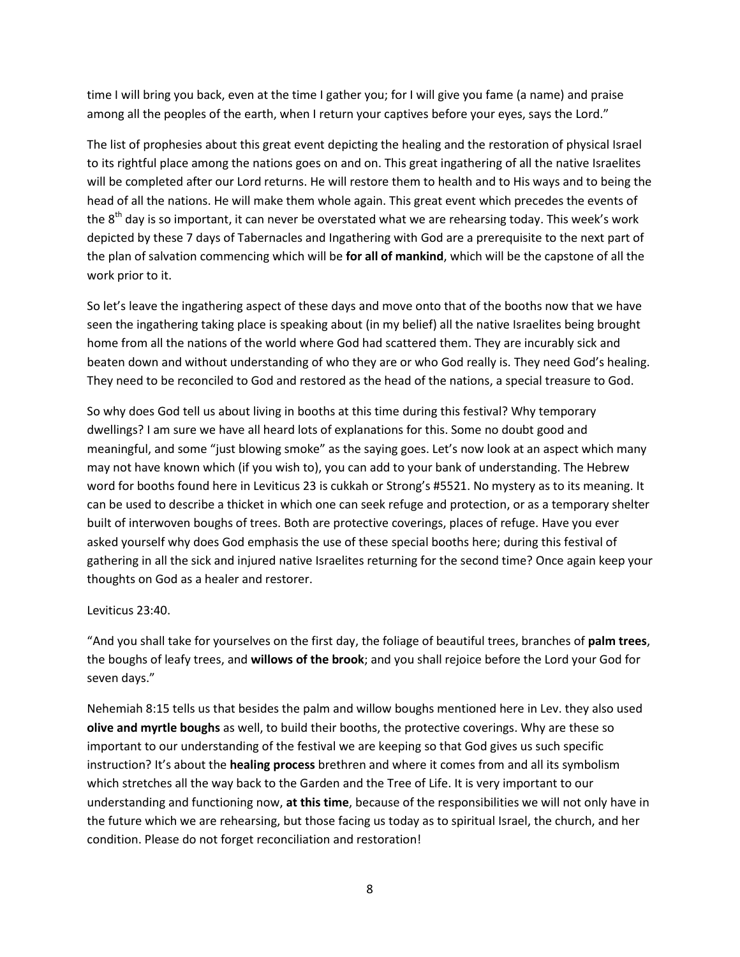time I will bring you back, even at the time I gather you; for I will give you fame (a name) and praise among all the peoples of the earth, when I return your captives before your eyes, says the Lord."

The list of prophesies about this great event depicting the healing and the restoration of physical Israel to its rightful place among the nations goes on and on. This great ingathering of all the native Israelites will be completed after our Lord returns. He will restore them to health and to His ways and to being the head of all the nations. He will make them whole again. This great event which precedes the events of the  $8<sup>th</sup>$  day is so important, it can never be overstated what we are rehearsing today. This week's work depicted by these 7 days of Tabernacles and Ingathering with God are a prerequisite to the next part of the plan of salvation commencing which will be **for all of mankind**, which will be the capstone of all the work prior to it.

So let's leave the ingathering aspect of these days and move onto that of the booths now that we have seen the ingathering taking place is speaking about (in my belief) all the native Israelites being brought home from all the nations of the world where God had scattered them. They are incurably sick and beaten down and without understanding of who they are or who God really is. They need God's healing. They need to be reconciled to God and restored as the head of the nations, a special treasure to God.

So why does God tell us about living in booths at this time during this festival? Why temporary dwellings? I am sure we have all heard lots of explanations for this. Some no doubt good and meaningful, and some "just blowing smoke" as the saying goes. Let's now look at an aspect which many may not have known which (if you wish to), you can add to your bank of understanding. The Hebrew word for booths found here in Leviticus 23 is cukkah or Strong's #5521. No mystery as to its meaning. It can be used to describe a thicket in which one can seek refuge and protection, or as a temporary shelter built of interwoven boughs of trees. Both are protective coverings, places of refuge. Have you ever asked yourself why does God emphasis the use of these special booths here; during this festival of gathering in all the sick and injured native Israelites returning for the second time? Once again keep your thoughts on God as a healer and restorer.

## Leviticus 23:40.

"And you shall take for yourselves on the first day, the foliage of beautiful trees, branches of **palm trees**, the boughs of leafy trees, and **willows of the brook**; and you shall rejoice before the Lord your God for seven days."

Nehemiah 8:15 tells us that besides the palm and willow boughs mentioned here in Lev. they also used **olive and myrtle boughs** as well, to build their booths, the protective coverings. Why are these so important to our understanding of the festival we are keeping so that God gives us such specific instruction? It's about the **healing process** brethren and where it comes from and all its symbolism which stretches all the way back to the Garden and the Tree of Life. It is very important to our understanding and functioning now, **at this time**, because of the responsibilities we will not only have in the future which we are rehearsing, but those facing us today as to spiritual Israel, the church, and her condition. Please do not forget reconciliation and restoration!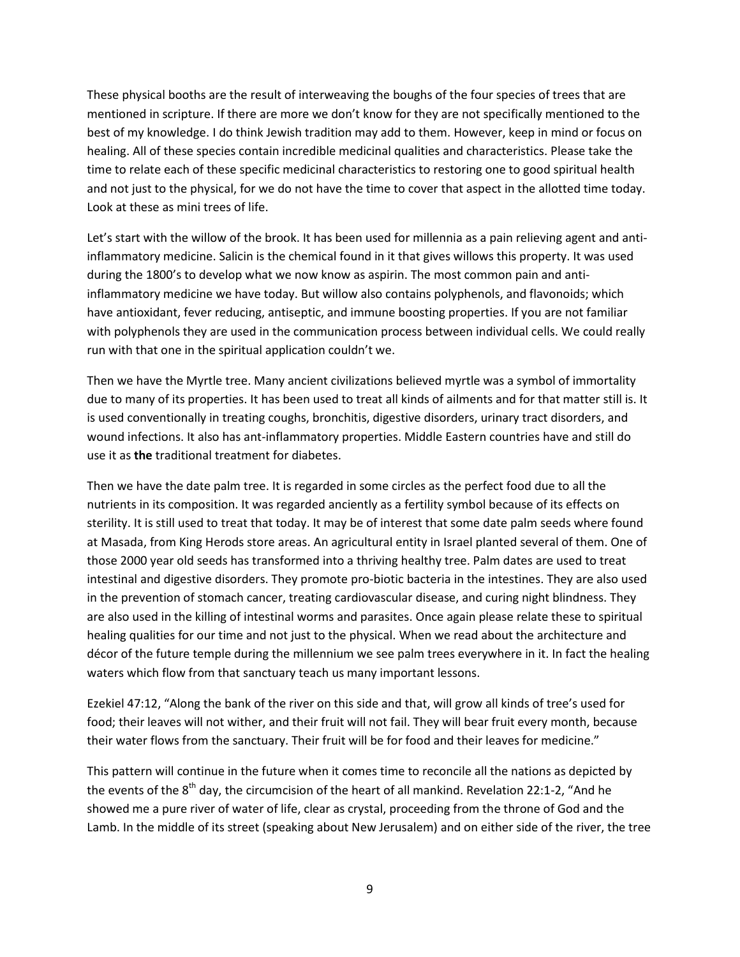These physical booths are the result of interweaving the boughs of the four species of trees that are mentioned in scripture. If there are more we don't know for they are not specifically mentioned to the best of my knowledge. I do think Jewish tradition may add to them. However, keep in mind or focus on healing. All of these species contain incredible medicinal qualities and characteristics. Please take the time to relate each of these specific medicinal characteristics to restoring one to good spiritual health and not just to the physical, for we do not have the time to cover that aspect in the allotted time today. Look at these as mini trees of life.

Let's start with the willow of the brook. It has been used for millennia as a pain relieving agent and antiinflammatory medicine. Salicin is the chemical found in it that gives willows this property. It was used during the 1800's to develop what we now know as aspirin. The most common pain and antiinflammatory medicine we have today. But willow also contains polyphenols, and flavonoids; which have antioxidant, fever reducing, antiseptic, and immune boosting properties. If you are not familiar with polyphenols they are used in the communication process between individual cells. We could really run with that one in the spiritual application couldn't we.

Then we have the Myrtle tree. Many ancient civilizations believed myrtle was a symbol of immortality due to many of its properties. It has been used to treat all kinds of ailments and for that matter still is. It is used conventionally in treating coughs, bronchitis, digestive disorders, urinary tract disorders, and wound infections. It also has ant-inflammatory properties. Middle Eastern countries have and still do use it as **the** traditional treatment for diabetes.

Then we have the date palm tree. It is regarded in some circles as the perfect food due to all the nutrients in its composition. It was regarded anciently as a fertility symbol because of its effects on sterility. It is still used to treat that today. It may be of interest that some date palm seeds where found at Masada, from King Herods store areas. An agricultural entity in Israel planted several of them. One of those 2000 year old seeds has transformed into a thriving healthy tree. Palm dates are used to treat intestinal and digestive disorders. They promote pro-biotic bacteria in the intestines. They are also used in the prevention of stomach cancer, treating cardiovascular disease, and curing night blindness. They are also used in the killing of intestinal worms and parasites. Once again please relate these to spiritual healing qualities for our time and not just to the physical. When we read about the architecture and décor of the future temple during the millennium we see palm trees everywhere in it. In fact the healing waters which flow from that sanctuary teach us many important lessons.

Ezekiel 47:12, "Along the bank of the river on this side and that, will grow all kinds of tree's used for food; their leaves will not wither, and their fruit will not fail. They will bear fruit every month, because their water flows from the sanctuary. Their fruit will be for food and their leaves for medicine."

This pattern will continue in the future when it comes time to reconcile all the nations as depicted by the events of the  $8<sup>th</sup>$  day, the circumcision of the heart of all mankind. Revelation 22:1-2, "And he showed me a pure river of water of life, clear as crystal, proceeding from the throne of God and the Lamb. In the middle of its street (speaking about New Jerusalem) and on either side of the river, the tree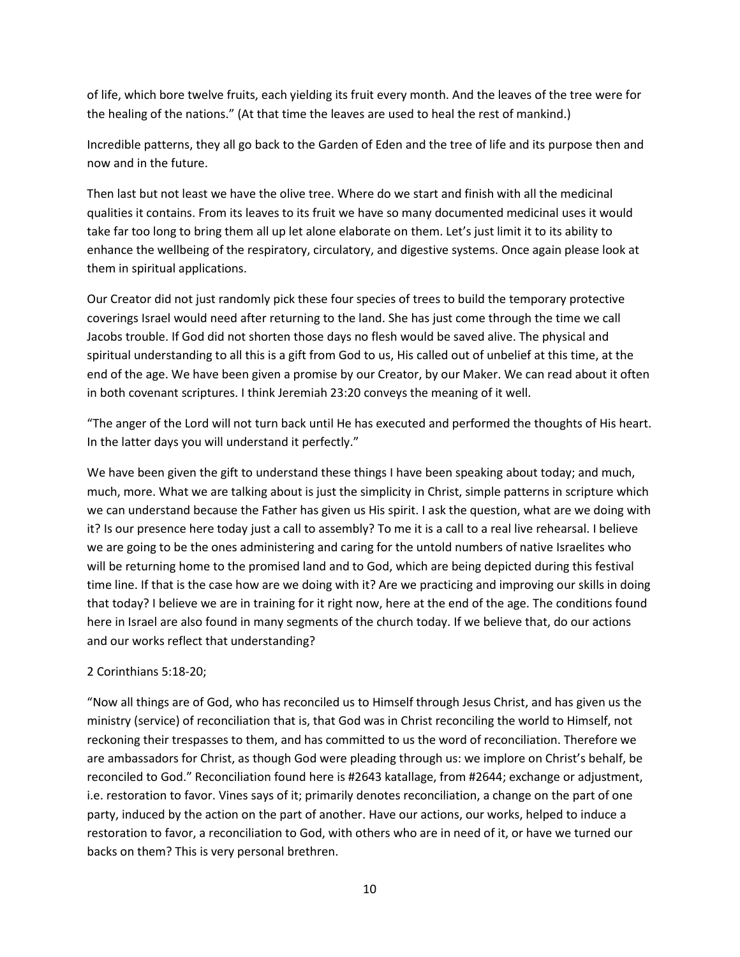of life, which bore twelve fruits, each yielding its fruit every month. And the leaves of the tree were for the healing of the nations." (At that time the leaves are used to heal the rest of mankind.)

Incredible patterns, they all go back to the Garden of Eden and the tree of life and its purpose then and now and in the future.

Then last but not least we have the olive tree. Where do we start and finish with all the medicinal qualities it contains. From its leaves to its fruit we have so many documented medicinal uses it would take far too long to bring them all up let alone elaborate on them. Let's just limit it to its ability to enhance the wellbeing of the respiratory, circulatory, and digestive systems. Once again please look at them in spiritual applications.

Our Creator did not just randomly pick these four species of trees to build the temporary protective coverings Israel would need after returning to the land. She has just come through the time we call Jacobs trouble. If God did not shorten those days no flesh would be saved alive. The physical and spiritual understanding to all this is a gift from God to us, His called out of unbelief at this time, at the end of the age. We have been given a promise by our Creator, by our Maker. We can read about it often in both covenant scriptures. I think Jeremiah 23:20 conveys the meaning of it well.

"The anger of the Lord will not turn back until He has executed and performed the thoughts of His heart. In the latter days you will understand it perfectly."

We have been given the gift to understand these things I have been speaking about today; and much, much, more. What we are talking about is just the simplicity in Christ, simple patterns in scripture which we can understand because the Father has given us His spirit. I ask the question, what are we doing with it? Is our presence here today just a call to assembly? To me it is a call to a real live rehearsal. I believe we are going to be the ones administering and caring for the untold numbers of native Israelites who will be returning home to the promised land and to God, which are being depicted during this festival time line. If that is the case how are we doing with it? Are we practicing and improving our skills in doing that today? I believe we are in training for it right now, here at the end of the age. The conditions found here in Israel are also found in many segments of the church today. If we believe that, do our actions and our works reflect that understanding?

## 2 Corinthians 5:18-20;

"Now all things are of God, who has reconciled us to Himself through Jesus Christ, and has given us the ministry (service) of reconciliation that is, that God was in Christ reconciling the world to Himself, not reckoning their trespasses to them, and has committed to us the word of reconciliation. Therefore we are ambassadors for Christ, as though God were pleading through us: we implore on Christ's behalf, be reconciled to God." Reconciliation found here is #2643 katallage, from #2644; exchange or adjustment, i.e. restoration to favor. Vines says of it; primarily denotes reconciliation, a change on the part of one party, induced by the action on the part of another. Have our actions, our works, helped to induce a restoration to favor, a reconciliation to God, with others who are in need of it, or have we turned our backs on them? This is very personal brethren.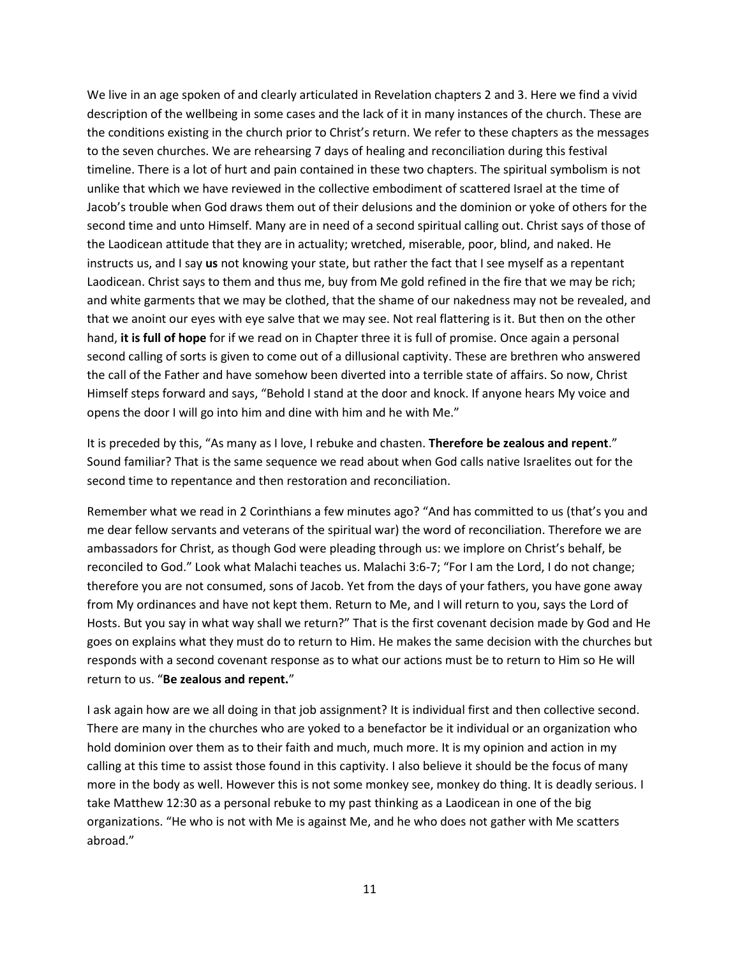We live in an age spoken of and clearly articulated in Revelation chapters 2 and 3. Here we find a vivid description of the wellbeing in some cases and the lack of it in many instances of the church. These are the conditions existing in the church prior to Christ's return. We refer to these chapters as the messages to the seven churches. We are rehearsing 7 days of healing and reconciliation during this festival timeline. There is a lot of hurt and pain contained in these two chapters. The spiritual symbolism is not unlike that which we have reviewed in the collective embodiment of scattered Israel at the time of Jacob's trouble when God draws them out of their delusions and the dominion or yoke of others for the second time and unto Himself. Many are in need of a second spiritual calling out. Christ says of those of the Laodicean attitude that they are in actuality; wretched, miserable, poor, blind, and naked. He instructs us, and I say **us** not knowing your state, but rather the fact that I see myself as a repentant Laodicean. Christ says to them and thus me, buy from Me gold refined in the fire that we may be rich; and white garments that we may be clothed, that the shame of our nakedness may not be revealed, and that we anoint our eyes with eye salve that we may see. Not real flattering is it. But then on the other hand, **it is full of hope** for if we read on in Chapter three it is full of promise. Once again a personal second calling of sorts is given to come out of a dillusional captivity. These are brethren who answered the call of the Father and have somehow been diverted into a terrible state of affairs. So now, Christ Himself steps forward and says, "Behold I stand at the door and knock. If anyone hears My voice and opens the door I will go into him and dine with him and he with Me."

It is preceded by this, "As many as I love, I rebuke and chasten. **Therefore be zealous and repent**." Sound familiar? That is the same sequence we read about when God calls native Israelites out for the second time to repentance and then restoration and reconciliation.

Remember what we read in 2 Corinthians a few minutes ago? "And has committed to us (that's you and me dear fellow servants and veterans of the spiritual war) the word of reconciliation. Therefore we are ambassadors for Christ, as though God were pleading through us: we implore on Christ's behalf, be reconciled to God." Look what Malachi teaches us. Malachi 3:6-7; "For I am the Lord, I do not change; therefore you are not consumed, sons of Jacob. Yet from the days of your fathers, you have gone away from My ordinances and have not kept them. Return to Me, and I will return to you, says the Lord of Hosts. But you say in what way shall we return?" That is the first covenant decision made by God and He goes on explains what they must do to return to Him. He makes the same decision with the churches but responds with a second covenant response as to what our actions must be to return to Him so He will return to us. "**Be zealous and repent.**"

I ask again how are we all doing in that job assignment? It is individual first and then collective second. There are many in the churches who are yoked to a benefactor be it individual or an organization who hold dominion over them as to their faith and much, much more. It is my opinion and action in my calling at this time to assist those found in this captivity. I also believe it should be the focus of many more in the body as well. However this is not some monkey see, monkey do thing. It is deadly serious. I take Matthew 12:30 as a personal rebuke to my past thinking as a Laodicean in one of the big organizations. "He who is not with Me is against Me, and he who does not gather with Me scatters abroad."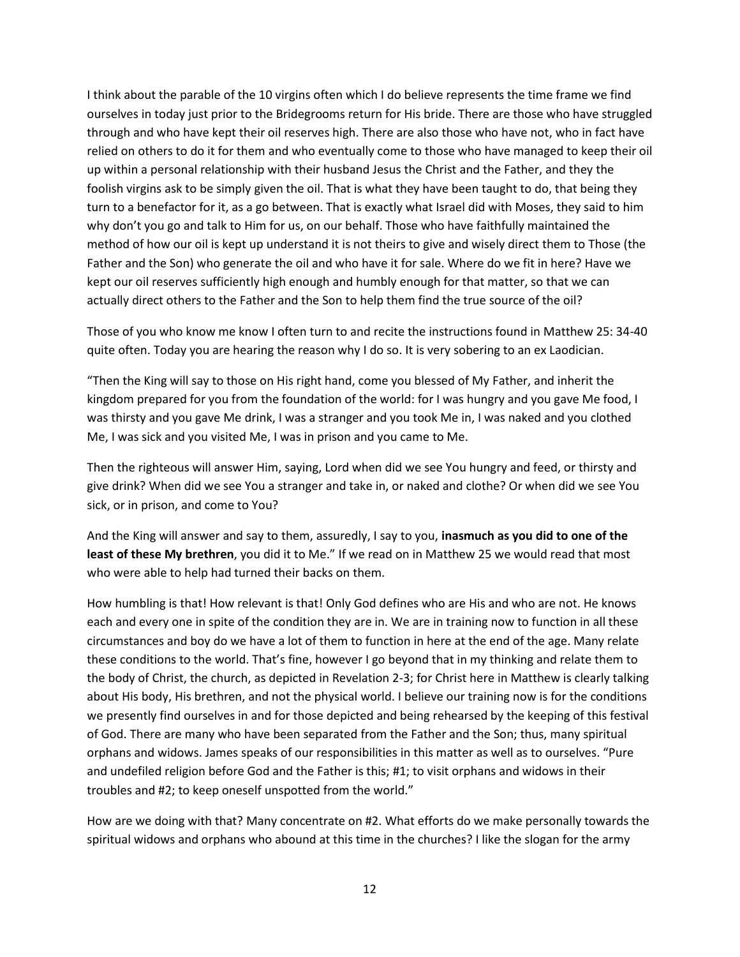I think about the parable of the 10 virgins often which I do believe represents the time frame we find ourselves in today just prior to the Bridegrooms return for His bride. There are those who have struggled through and who have kept their oil reserves high. There are also those who have not, who in fact have relied on others to do it for them and who eventually come to those who have managed to keep their oil up within a personal relationship with their husband Jesus the Christ and the Father, and they the foolish virgins ask to be simply given the oil. That is what they have been taught to do, that being they turn to a benefactor for it, as a go between. That is exactly what Israel did with Moses, they said to him why don't you go and talk to Him for us, on our behalf. Those who have faithfully maintained the method of how our oil is kept up understand it is not theirs to give and wisely direct them to Those (the Father and the Son) who generate the oil and who have it for sale. Where do we fit in here? Have we kept our oil reserves sufficiently high enough and humbly enough for that matter, so that we can actually direct others to the Father and the Son to help them find the true source of the oil?

Those of you who know me know I often turn to and recite the instructions found in Matthew 25: 34-40 quite often. Today you are hearing the reason why I do so. It is very sobering to an ex Laodician.

"Then the King will say to those on His right hand, come you blessed of My Father, and inherit the kingdom prepared for you from the foundation of the world: for I was hungry and you gave Me food, I was thirsty and you gave Me drink, I was a stranger and you took Me in, I was naked and you clothed Me, I was sick and you visited Me, I was in prison and you came to Me.

Then the righteous will answer Him, saying, Lord when did we see You hungry and feed, or thirsty and give drink? When did we see You a stranger and take in, or naked and clothe? Or when did we see You sick, or in prison, and come to You?

And the King will answer and say to them, assuredly, I say to you, **inasmuch as you did to one of the least of these My brethren**, you did it to Me." If we read on in Matthew 25 we would read that most who were able to help had turned their backs on them.

How humbling is that! How relevant is that! Only God defines who are His and who are not. He knows each and every one in spite of the condition they are in. We are in training now to function in all these circumstances and boy do we have a lot of them to function in here at the end of the age. Many relate these conditions to the world. That's fine, however I go beyond that in my thinking and relate them to the body of Christ, the church, as depicted in Revelation 2-3; for Christ here in Matthew is clearly talking about His body, His brethren, and not the physical world. I believe our training now is for the conditions we presently find ourselves in and for those depicted and being rehearsed by the keeping of this festival of God. There are many who have been separated from the Father and the Son; thus, many spiritual orphans and widows. James speaks of our responsibilities in this matter as well as to ourselves. "Pure and undefiled religion before God and the Father is this; #1; to visit orphans and widows in their troubles and #2; to keep oneself unspotted from the world."

How are we doing with that? Many concentrate on #2. What efforts do we make personally towards the spiritual widows and orphans who abound at this time in the churches? I like the slogan for the army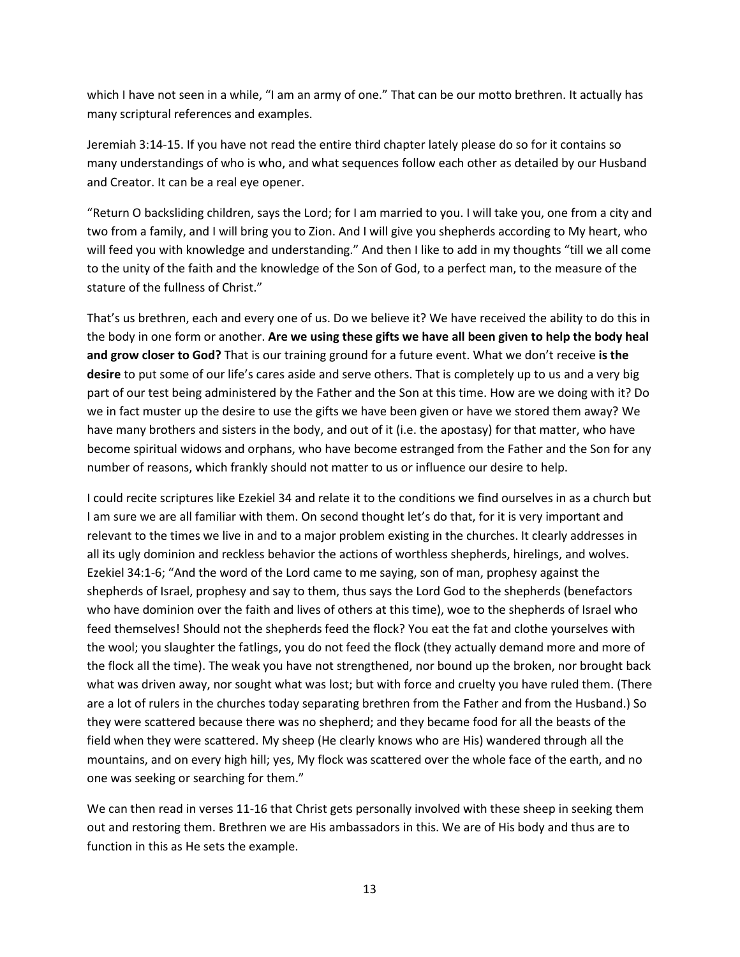which I have not seen in a while, "I am an army of one." That can be our motto brethren. It actually has many scriptural references and examples.

Jeremiah 3:14-15. If you have not read the entire third chapter lately please do so for it contains so many understandings of who is who, and what sequences follow each other as detailed by our Husband and Creator. It can be a real eye opener.

"Return O backsliding children, says the Lord; for I am married to you. I will take you, one from a city and two from a family, and I will bring you to Zion. And I will give you shepherds according to My heart, who will feed you with knowledge and understanding." And then I like to add in my thoughts "till we all come to the unity of the faith and the knowledge of the Son of God, to a perfect man, to the measure of the stature of the fullness of Christ."

That's us brethren, each and every one of us. Do we believe it? We have received the ability to do this in the body in one form or another. **Are we using these gifts we have all been given to help the body heal and grow closer to God?** That is our training ground for a future event. What we don't receive **is the desire** to put some of our life's cares aside and serve others. That is completely up to us and a very big part of our test being administered by the Father and the Son at this time. How are we doing with it? Do we in fact muster up the desire to use the gifts we have been given or have we stored them away? We have many brothers and sisters in the body, and out of it (i.e. the apostasy) for that matter, who have become spiritual widows and orphans, who have become estranged from the Father and the Son for any number of reasons, which frankly should not matter to us or influence our desire to help.

I could recite scriptures like Ezekiel 34 and relate it to the conditions we find ourselves in as a church but I am sure we are all familiar with them. On second thought let's do that, for it is very important and relevant to the times we live in and to a major problem existing in the churches. It clearly addresses in all its ugly dominion and reckless behavior the actions of worthless shepherds, hirelings, and wolves. Ezekiel 34:1-6; "And the word of the Lord came to me saying, son of man, prophesy against the shepherds of Israel, prophesy and say to them, thus says the Lord God to the shepherds (benefactors who have dominion over the faith and lives of others at this time), woe to the shepherds of Israel who feed themselves! Should not the shepherds feed the flock? You eat the fat and clothe yourselves with the wool; you slaughter the fatlings, you do not feed the flock (they actually demand more and more of the flock all the time). The weak you have not strengthened, nor bound up the broken, nor brought back what was driven away, nor sought what was lost; but with force and cruelty you have ruled them. (There are a lot of rulers in the churches today separating brethren from the Father and from the Husband.) So they were scattered because there was no shepherd; and they became food for all the beasts of the field when they were scattered. My sheep (He clearly knows who are His) wandered through all the mountains, and on every high hill; yes, My flock was scattered over the whole face of the earth, and no one was seeking or searching for them."

We can then read in verses 11-16 that Christ gets personally involved with these sheep in seeking them out and restoring them. Brethren we are His ambassadors in this. We are of His body and thus are to function in this as He sets the example.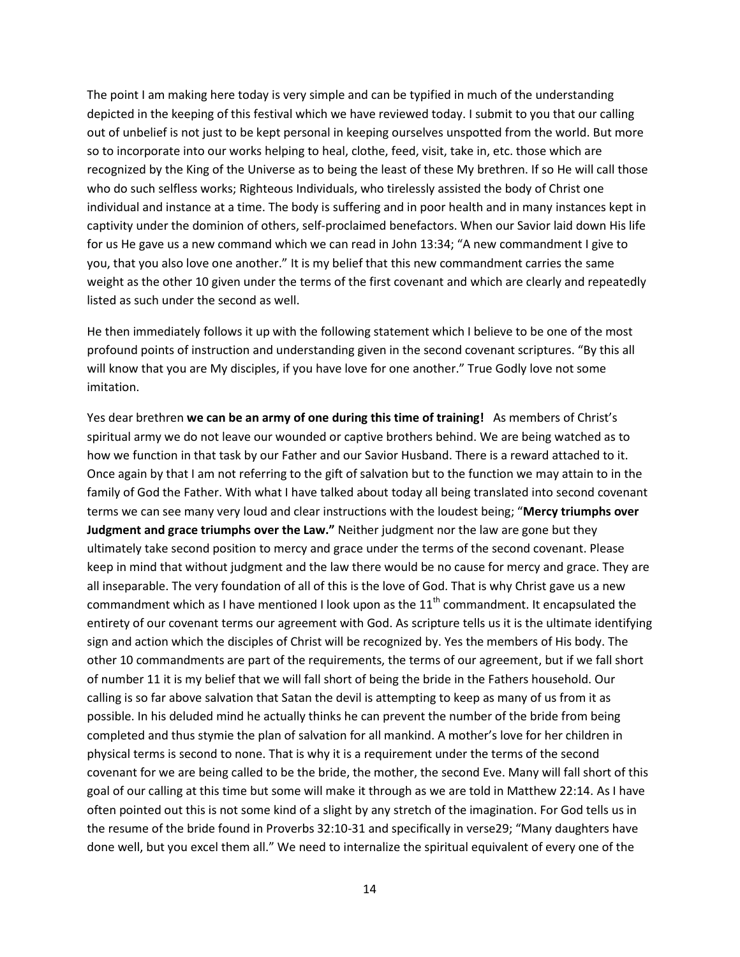The point I am making here today is very simple and can be typified in much of the understanding depicted in the keeping of this festival which we have reviewed today. I submit to you that our calling out of unbelief is not just to be kept personal in keeping ourselves unspotted from the world. But more so to incorporate into our works helping to heal, clothe, feed, visit, take in, etc. those which are recognized by the King of the Universe as to being the least of these My brethren. If so He will call those who do such selfless works; Righteous Individuals, who tirelessly assisted the body of Christ one individual and instance at a time. The body is suffering and in poor health and in many instances kept in captivity under the dominion of others, self-proclaimed benefactors. When our Savior laid down His life for us He gave us a new command which we can read in John 13:34; "A new commandment I give to you, that you also love one another." It is my belief that this new commandment carries the same weight as the other 10 given under the terms of the first covenant and which are clearly and repeatedly listed as such under the second as well.

He then immediately follows it up with the following statement which I believe to be one of the most profound points of instruction and understanding given in the second covenant scriptures. "By this all will know that you are My disciples, if you have love for one another." True Godly love not some imitation.

Yes dear brethren **we can be an army of one during this time of training!** As members of Christ's spiritual army we do not leave our wounded or captive brothers behind. We are being watched as to how we function in that task by our Father and our Savior Husband. There is a reward attached to it. Once again by that I am not referring to the gift of salvation but to the function we may attain to in the family of God the Father. With what I have talked about today all being translated into second covenant terms we can see many very loud and clear instructions with the loudest being; "**Mercy triumphs over Judgment and grace triumphs over the Law."** Neither judgment nor the law are gone but they ultimately take second position to mercy and grace under the terms of the second covenant. Please keep in mind that without judgment and the law there would be no cause for mercy and grace. They are all inseparable. The very foundation of all of this is the love of God. That is why Christ gave us a new commandment which as I have mentioned I look upon as the  $11<sup>th</sup>$  commandment. It encapsulated the entirety of our covenant terms our agreement with God. As scripture tells us it is the ultimate identifying sign and action which the disciples of Christ will be recognized by. Yes the members of His body. The other 10 commandments are part of the requirements, the terms of our agreement, but if we fall short of number 11 it is my belief that we will fall short of being the bride in the Fathers household. Our calling is so far above salvation that Satan the devil is attempting to keep as many of us from it as possible. In his deluded mind he actually thinks he can prevent the number of the bride from being completed and thus stymie the plan of salvation for all mankind. A mother's love for her children in physical terms is second to none. That is why it is a requirement under the terms of the second covenant for we are being called to be the bride, the mother, the second Eve. Many will fall short of this goal of our calling at this time but some will make it through as we are told in Matthew 22:14. As I have often pointed out this is not some kind of a slight by any stretch of the imagination. For God tells us in the resume of the bride found in Proverbs 32:10-31 and specifically in verse29; "Many daughters have done well, but you excel them all." We need to internalize the spiritual equivalent of every one of the